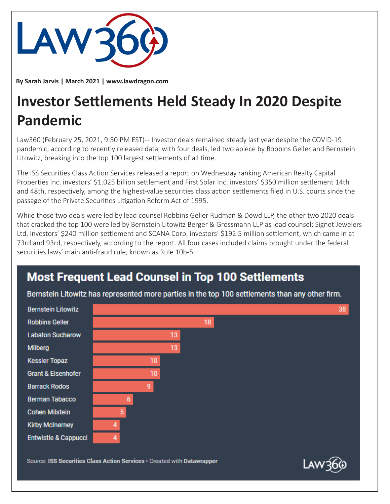

**By Sarah Jarvis | March 2021 | www.lawdragon.com**

## **Investor Settlements Held Steady In 2020 Despite Pandemic**

Law360 (February 25, 2021, 9:50 PM EST) -- Investor deals remained steady last year despite the COVID-19 pandemic, according to recently released data, with four deals, led two apiece by Robbins Geller and Bernstein Litowitz, breaking into the top 100 largest settlements of all time.

The ISS Securities Class Action Services released a report on Wednesday ranking American Realty Capital Properties Inc. investors' \$1.025 billion settlement and First Solar Inc. investors' \$350 million settlement 14th and 48th, respectively, among the highest-value securities class action settlements filed in U.S. courts since the passage of the Private Securities Litigation Reform Act of 1995.

While those two deals were led by lead counsel Robbins Geller Rudman & Dowd LLP, the other two 2020 deals that cracked the top 100 were led by Bernstein Litowitz Berger & Grossmann LLP as lead counsel: Signet Jewelers Ltd. investors' \$240 million settlement and SCANA Corp. investors' \$192.5 million settlement, which came in at 73rd and 93rd, respectively, according to the report. All four cases included claims brought under the federal securities laws' main anti-fraud rule, known as Rule 10b-5.

## **Most Frequent Lead Counsel in Top 100 Settlements**

Bernstein Litowitz has represented more parties in the top 100 settlements than any other firm.



Source: ISS Securities Class Action Services · Created with Datawrapper